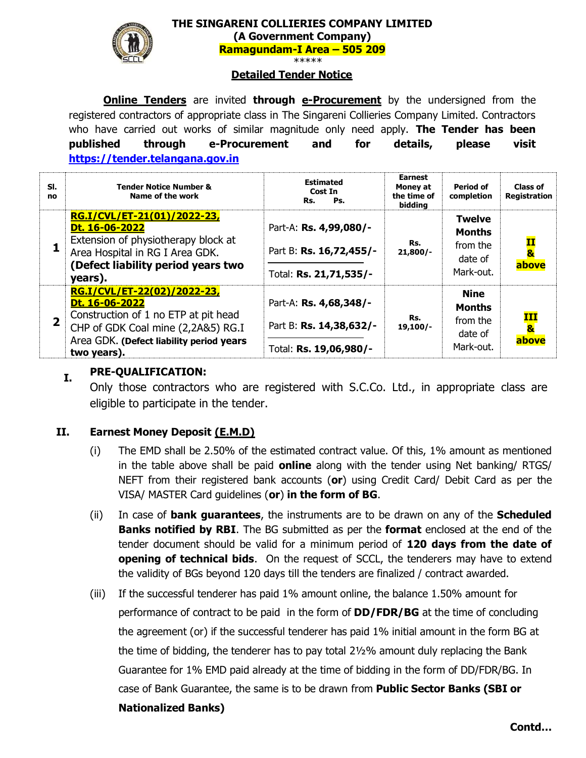

**THE SINGARENI COLLIERIES COMPANY LIMITED (A Government Company) Ramagundam-I Area – 505 209** \*\*\*\*\*

#### **Detailed Tender Notice**

**Online Tenders** are invited **through e-Procurement** by the undersigned from the registered contractors of appropriate class in The Singareni Collieries Company Limited. Contractors who have carried out works of similar magnitude only need apply. **The Tender has been published through e-Procurement and for details, please visit [https://tender.telangana.gov.in](https://tender.telangana.gov.in/)**

| SI.<br>no      | Tender Notice Number &<br>Name of the work                                                                                                                                             | <b>Estimated</b><br>Cost In<br>Ps.<br>Rs.                                   | <b>Earnest</b><br>Money at<br>the time of<br>biddina | Period of<br>completion                                            | <b>Class of</b><br><b>Registration</b>        |
|----------------|----------------------------------------------------------------------------------------------------------------------------------------------------------------------------------------|-----------------------------------------------------------------------------|------------------------------------------------------|--------------------------------------------------------------------|-----------------------------------------------|
|                | RG.I/CVL/ET-21(01)/2022-23,<br>Dt. 16-06-2022<br>Extension of physiotherapy block at<br>Area Hospital in RG I Area GDK.<br>(Defect liability period years two<br>years).               | Part-A: Rs. 4,99,080/-<br>Part B: Rs. 16,72,455/-<br>Total: Rs. 21,71,535/- | Rs.<br>$21,800/-$                                    | <b>Twelve</b><br><b>Months</b><br>from the<br>date of<br>Mark-out. | <u>II</u><br>$\overline{\mathbf{8}}$<br>above |
| $\overline{2}$ | RG.I/CVL/ET-22(02)/2022-23,<br>Dt. 16-06-2022<br>Construction of 1 no ETP at pit head<br>CHP of GDK Coal mine (2,2A&5) RG.I<br>Area GDK. (Defect liability period years<br>two years). | Part-A: Rs. 4,68,348/-<br>Part B: Rs. 14,38,632/-<br>Total: Rs. 19,06,980/- | Rs.<br>$19,100/-$                                    | <b>Nine</b><br><b>Months</b><br>from the<br>date of<br>Mark-out.   | III<br>$\overline{\mathbf{8}}$<br>above       |

# **I. PRE-QUALIFICATION:**

Only those contractors who are registered with S.C.Co. Ltd., in appropriate class are eligible to participate in the tender.

## **II. Earnest Money Deposit (E.M.D)**

- (i) The EMD shall be 2.50% of the estimated contract value. Of this, 1% amount as mentioned in the table above shall be paid **online** along with the tender using Net banking/ RTGS/ NEFT from their registered bank accounts (**or**) using Credit Card/ Debit Card as per the VISA/ MASTER Card guidelines (**or**) **in the form of BG**.
- (ii) In case of **bank guarantees**, the instruments are to be drawn on any of the **Scheduled Banks notified by RBI**. The BG submitted as per the **format** enclosed at the end of the tender document should be valid for a minimum period of **120 days from the date of opening of technical bids**. On the request of SCCL, the tenderers may have to extend the validity of BGs beyond 120 days till the tenders are finalized / contract awarded.
- (iii) If the successful tenderer has paid 1% amount online, the balance 1.50% amount for performance of contract to be paid in the form of **DD/FDR/BG** at the time of concluding the agreement (or) if the successful tenderer has paid 1% initial amount in the form BG at the time of bidding, the tenderer has to pay total 2½% amount duly replacing the Bank Guarantee for 1% EMD paid already at the time of bidding in the form of DD/FDR/BG. In case of Bank Guarantee, the same is to be drawn from **Public Sector Banks (SBI or Nationalized Banks)**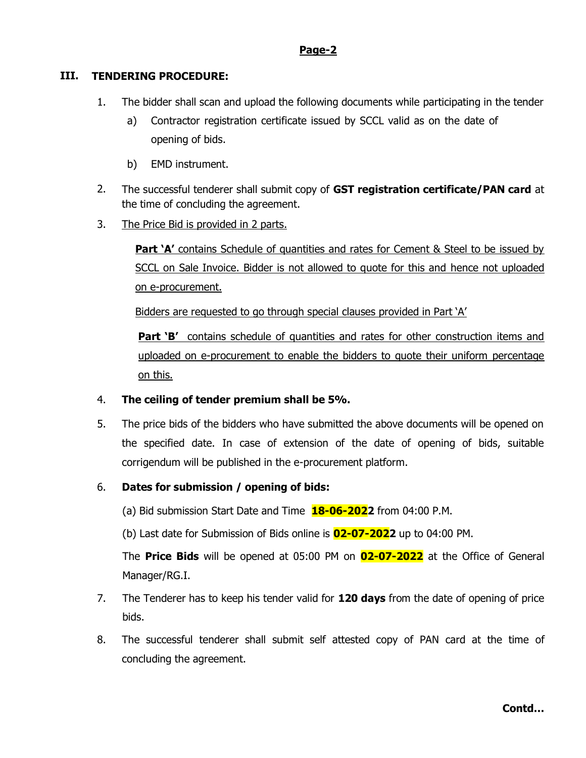## **Page-2**

## **III. TENDERING PROCEDURE:**

- 1. The bidder shall scan and upload the following documents while participating in the tender
	- a) Contractor registration certificate issued by SCCL valid as on the date of opening of bids.
	- b) EMD instrument.
- 2. The successful tenderer shall submit copy of **GST registration certificate/PAN card** at the time of concluding the agreement.
- 3. The Price Bid is provided in 2 parts.

**Part 'A'** contains Schedule of quantities and rates for Cement & Steel to be issued by SCCL on Sale Invoice. Bidder is not allowed to quote for this and hence not uploaded on e-procurement.

Bidders are requested to go through special clauses provided in Part 'A'

**Part 'B'** contains schedule of quantities and rates for other construction items and uploaded on e-procurement to enable the bidders to quote their uniform percentage on this.

## 4. **The ceiling of tender premium shall be 5%.**

5. The price bids of the bidders who have submitted the above documents will be opened on the specified date. In case of extension of the date of opening of bids, suitable corrigendum will be published in the e-procurement platform.

## 6. **Dates for submission / opening of bids:**

(a) Bid submission Start Date and Time **18-06-2022** from 04:00 P.M.

(b) Last date for Submission of Bids online is **02-07-2022** up to 04:00 PM.

The **Price Bids** will be opened at 05:00 PM on **02-07-2022** at the Office of General Manager/RG.I.

- 7. The Tenderer has to keep his tender valid for **120 days** from the date of opening of price bids.
- 8. The successful tenderer shall submit self attested copy of PAN card at the time of concluding the agreement.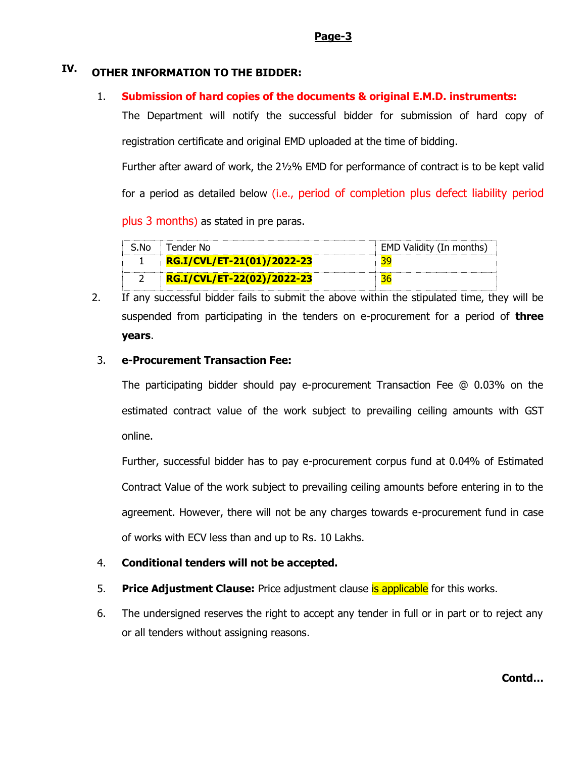#### **Page-3**

## **IV. OTHER INFORMATION TO THE BIDDER:**

#### 1. **Submission of hard copies of the documents & original E.M.D. instruments:**

The Department will notify the successful bidder for submission of hard copy of registration certificate and original EMD uploaded at the time of bidding.

Further after award of work, the 2½% EMD for performance of contract is to be kept valid for a period as detailed below (i.e., period of completion plus defect liability period

plus 3 months) as stated in pre paras.

| S.No | Tender No                  | EMD Validity (In months) |
|------|----------------------------|--------------------------|
|      | RG.I/CVL/ET-21(01)/2022-23 |                          |
|      | RG.I/CVL/ET-22(02)/2022-23 |                          |

2. If any successful bidder fails to submit the above within the stipulated time, they will be suspended from participating in the tenders on e-procurement for a period of **three years**.

#### 3. **e-Procurement Transaction Fee:**

The participating bidder should pay e-procurement Transaction Fee @ 0.03% on the estimated contract value of the work subject to prevailing ceiling amounts with GST online.

Further, successful bidder has to pay e-procurement corpus fund at 0.04% of Estimated Contract Value of the work subject to prevailing ceiling amounts before entering in to the agreement. However, there will not be any charges towards e-procurement fund in case of works with ECV less than and up to Rs. 10 Lakhs.

## 4. **Conditional tenders will not be accepted.**

- 5. **Price Adjustment Clause:** Price adjustment clause is applicable for this works.
- 6. The undersigned reserves the right to accept any tender in full or in part or to reject any or all tenders without assigning reasons.